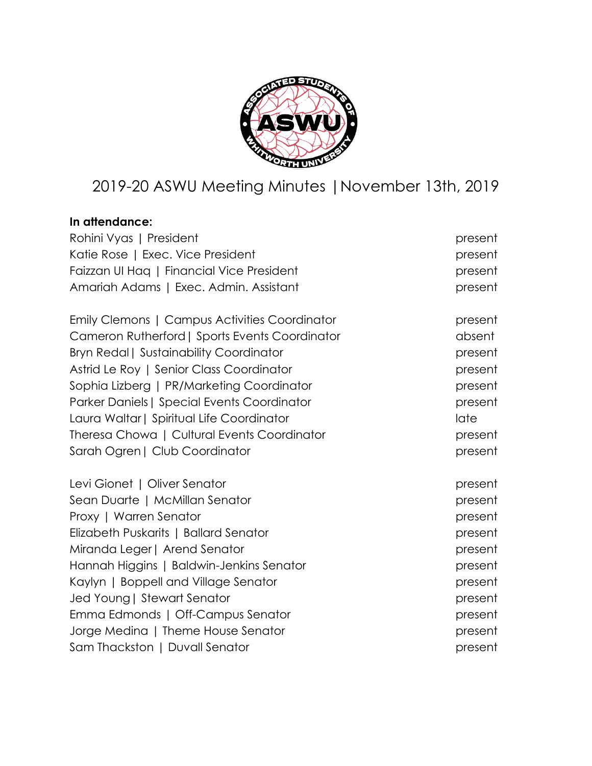

# 2019-20 ASWU Meeting Minutes |November 13th, 2019

## **In attendance:**

| Rohini Vyas   President                        | present |
|------------------------------------------------|---------|
| Katie Rose   Exec. Vice President              | present |
| Faizzan UI Hag   Financial Vice President      | present |
| Amariah Adams   Exec. Admin. Assistant         | present |
| Emily Clemons   Campus Activities Coordinator  | present |
| Cameron Rutherford   Sports Events Coordinator | absent  |
| <b>Bryn Redal   Sustainability Coordinator</b> | present |
| Astrid Le Roy   Senior Class Coordinator       | present |
| Sophia Lizberg   PR/Marketing Coordinator      | present |
| Parker Daniels   Special Events Coordinator    | present |
| Laura Waltar   Spiritual Life Coordinator      | late    |
| Theresa Chowa   Cultural Events Coordinator    | present |
| Sarah Ogren   Club Coordinator                 | present |
| Levi Gionet   Oliver Senator                   | present |
| Sean Duarte   McMillan Senator                 | present |
| Proxy   Warren Senator                         | present |
| Elizabeth Puskarits   Ballard Senator          | present |
| Miranda Leger   Arend Senator                  | present |
| Hannah Higgins   Baldwin-Jenkins Senator       | present |
| Kaylyn   Boppell and Village Senator           | present |
| Jed Young   Stewart Senator                    | present |
| Emma Edmonds   Off-Campus Senator              | present |
| Jorge Medina   Theme House Senator             | present |
| Sam Thackston   Duvall Senator                 | present |
|                                                |         |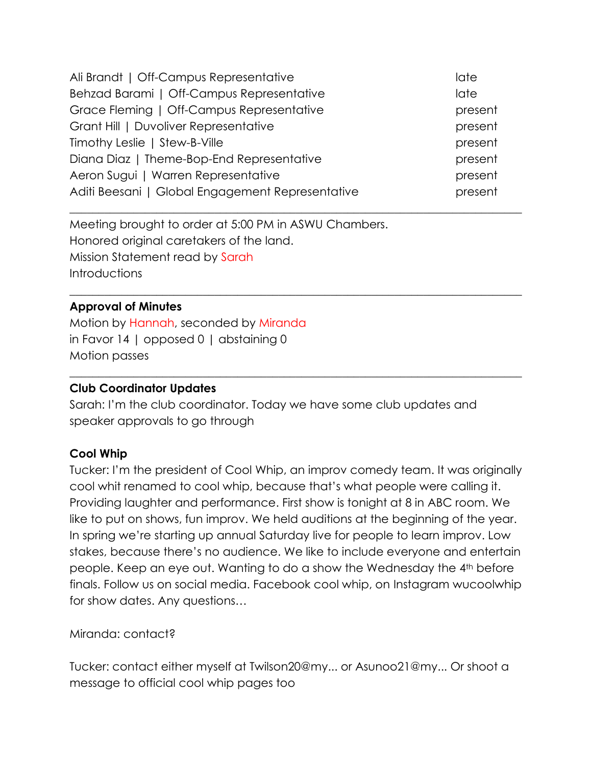| Ali Brandt   Off-Campus Representative           | late    |
|--------------------------------------------------|---------|
| Behzad Barami   Off-Campus Representative        | late    |
| Grace Fleming   Off-Campus Representative        | present |
| Grant Hill   Duvoliver Representative            | present |
| Timothy Leslie   Stew-B-Ville                    | present |
| Diana Diaz   Theme-Bop-End Representative        | present |
| Aeron Sugui   Warren Representative              | present |
| Aditi Beesani   Global Engagement Representative | present |
|                                                  |         |

 $\_$  , and the set of the set of the set of the set of the set of the set of the set of the set of the set of the set of the set of the set of the set of the set of the set of the set of the set of the set of the set of th

 $\_$  , and the set of the set of the set of the set of the set of the set of the set of the set of the set of the set of the set of the set of the set of the set of the set of the set of the set of the set of the set of th

Meeting brought to order at 5:00 PM in ASWU Chambers. Honored original caretakers of the land. Mission Statement read by Sarah Introductions

#### **Approval of Minutes**

Motion by Hannah, seconded by Miranda in Favor 14 | opposed 0 | abstaining 0 Motion passes

#### **Club Coordinator Updates**

Sarah: I'm the club coordinator. Today we have some club updates and speaker approvals to go through

#### **Cool Whip**

Tucker: I'm the president of Cool Whip, an improv comedy team. It was originally cool whit renamed to cool whip, because that's what people were calling it. Providing laughter and performance. First show is tonight at 8 in ABC room. We like to put on shows, fun improv. We held auditions at the beginning of the year. In spring we're starting up annual Saturday live for people to learn improv. Low stakes, because there's no audience. We like to include everyone and entertain people. Keep an eye out. Wanting to do a show the Wednesday the 4th before finals. Follow us on social media. Facebook cool whip, on Instagram wucoolwhip for show dates. Any questions…

Miranda: contact?

Tucker: contact either myself at Twilson20@my... or Asunoo21@my... Or shoot a message to official cool whip pages too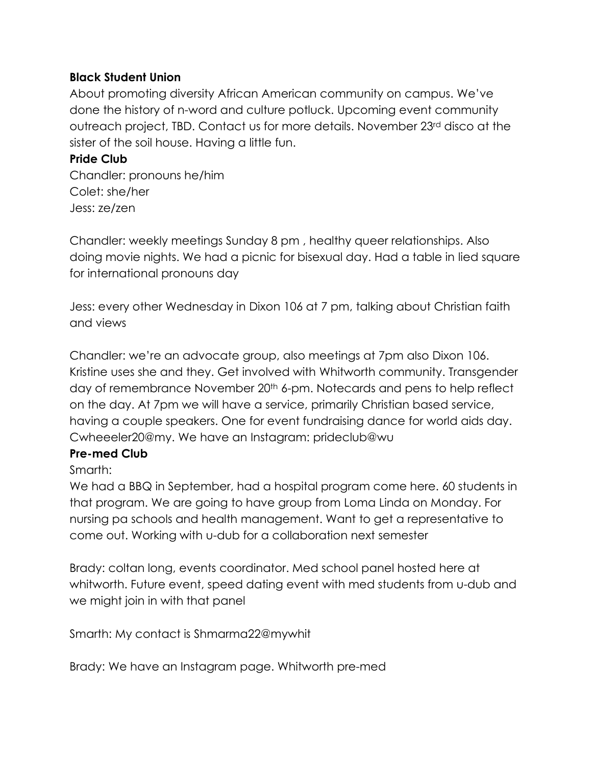#### **Black Student Union**

About promoting diversity African American community on campus. We've done the history of n-word and culture potluck. Upcoming event community outreach project, TBD. Contact us for more details. November 23rd disco at the sister of the soil house. Having a little fun.

#### **Pride Club**

Chandler: pronouns he/him Colet: she/her Jess: ze/zen

Chandler: weekly meetings Sunday 8 pm , healthy queer relationships. Also doing movie nights. We had a picnic for bisexual day. Had a table in lied square for international pronouns day

Jess: every other Wednesday in Dixon 106 at 7 pm, talking about Christian faith and views

Chandler: we're an advocate group, also meetings at 7pm also Dixon 106. Kristine uses she and they. Get involved with Whitworth community. Transgender day of remembrance November 20<sup>th</sup> 6-pm. Notecards and pens to help reflect on the day. At 7pm we will have a service, primarily Christian based service, having a couple speakers. One for event fundraising dance for world aids day. Cwheeeler20@my. We have an Instagram: prideclub@wu

## **Pre-med Club**

## Smarth:

We had a BBQ in September, had a hospital program come here. 60 students in that program. We are going to have group from Loma Linda on Monday. For nursing pa schools and health management. Want to get a representative to come out. Working with u-dub for a collaboration next semester

Brady: coltan long, events coordinator. Med school panel hosted here at whitworth. Future event, speed dating event with med students from u-dub and we might join in with that panel

Smarth: My contact is Shmarma22@mywhit

Brady: We have an Instagram page. Whitworth pre-med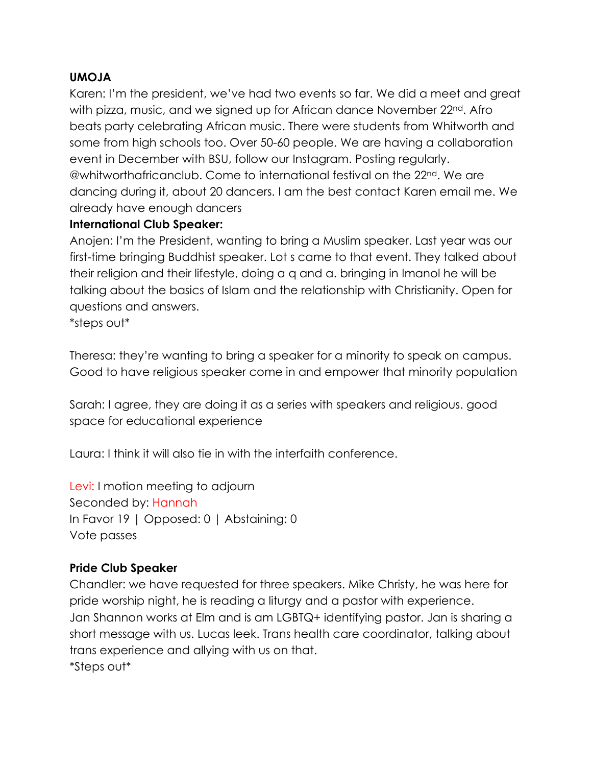#### **UMOJA**

Karen: I'm the president, we've had two events so far. We did a meet and great with pizza, music, and we signed up for African dance November 22<sup>nd</sup>. Afro beats party celebrating African music. There were students from Whitworth and some from high schools too. Over 50-60 people. We are having a collaboration event in December with BSU, follow our Instagram. Posting regularly. @whitworthafricanclub. Come to international festival on the 22nd. We are dancing during it, about 20 dancers. I am the best contact Karen email me. We already have enough dancers

#### **International Club Speaker:**

Anojen: I'm the President, wanting to bring a Muslim speaker. Last year was our first-time bringing Buddhist speaker. Lot s came to that event. They talked about their religion and their lifestyle, doing a q and a. bringing in Imanol he will be talking about the basics of Islam and the relationship with Christianity. Open for questions and answers.

\*steps out\*

Theresa: they're wanting to bring a speaker for a minority to speak on campus. Good to have religious speaker come in and empower that minority population

Sarah: I agree, they are doing it as a series with speakers and religious. good space for educational experience

Laura: I think it will also tie in with the interfaith conference.

Levi: I motion meeting to adjourn Seconded by: Hannah In Favor 19 | Opposed: 0 | Abstaining: 0 Vote passes

## **Pride Club Speaker**

Chandler: we have requested for three speakers. Mike Christy, he was here for pride worship night, he is reading a liturgy and a pastor with experience. Jan Shannon works at Elm and is am LGBTQ+ identifying pastor. Jan is sharing a short message with us. Lucas leek. Trans health care coordinator, talking about trans experience and allying with us on that. \*Steps out\*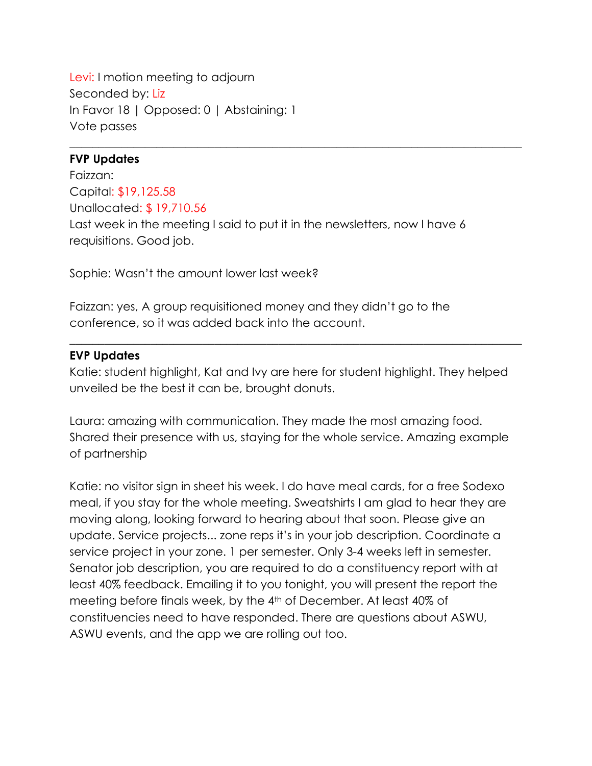Levi: I motion meeting to adjourn Seconded by: Liz In Favor 18 | Opposed: 0 | Abstaining: 1 Vote passes

#### **FVP Updates**

Faizzan: Capital: \$19,125.58 Unallocated: \$ 19,710.56 Last week in the meeting I said to put it in the newsletters, now I have 6 requisitions. Good job.

 $\_$  , and the set of the set of the set of the set of the set of the set of the set of the set of the set of the set of the set of the set of the set of the set of the set of the set of the set of the set of the set of th

Sophie: Wasn't the amount lower last week?

Faizzan: yes, A group requisitioned money and they didn't go to the conference, so it was added back into the account.

#### **EVP Updates**

Katie: student highlight, Kat and Ivy are here for student highlight. They helped unveiled be the best it can be, brought donuts.

 $\_$  , and the set of the set of the set of the set of the set of the set of the set of the set of the set of the set of the set of the set of the set of the set of the set of the set of the set of the set of the set of th

Laura: amazing with communication. They made the most amazing food. Shared their presence with us, staying for the whole service. Amazing example of partnership

Katie: no visitor sign in sheet his week. I do have meal cards, for a free Sodexo meal, if you stay for the whole meeting. Sweatshirts I am glad to hear they are moving along, looking forward to hearing about that soon. Please give an update. Service projects... zone reps it's in your job description. Coordinate a service project in your zone. 1 per semester. Only 3-4 weeks left in semester. Senator job description, you are required to do a constituency report with at least 40% feedback. Emailing it to you tonight, you will present the report the meeting before finals week, by the 4th of December. At least 40% of constituencies need to have responded. There are questions about ASWU, ASWU events, and the app we are rolling out too.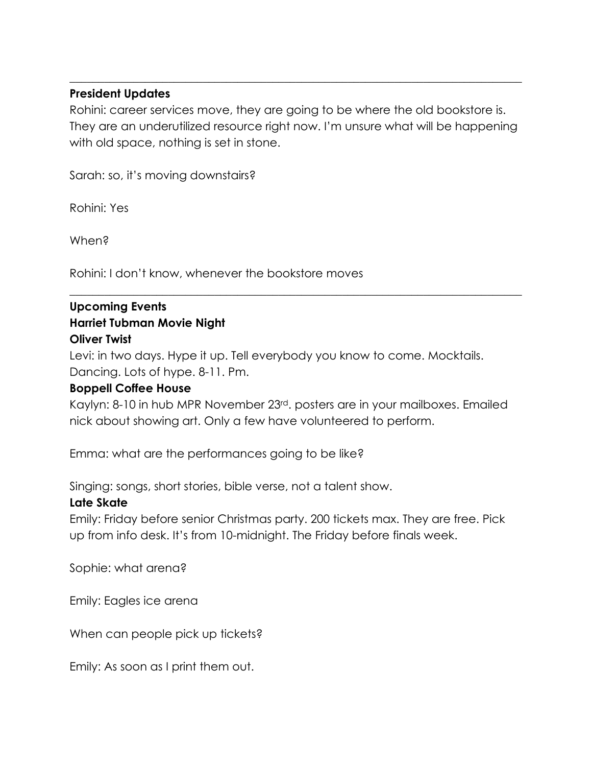#### **President Updates**

Rohini: career services move, they are going to be where the old bookstore is. They are an underutilized resource right now. I'm unsure what will be happening with old space, nothing is set in stone.

 $\_$  , and the set of the set of the set of the set of the set of the set of the set of the set of the set of the set of the set of the set of the set of the set of the set of the set of the set of the set of the set of th

Sarah: so, it's moving downstairs?

Rohini: Yes

When?

Rohini: I don't know, whenever the bookstore moves

## **Upcoming Events Harriet Tubman Movie Night Oliver Twist**

Levi: in two days. Hype it up. Tell everybody you know to come. Mocktails. Dancing. Lots of hype. 8-11. Pm.

#### **Boppell Coffee House**

Kaylyn: 8-10 in hub MPR November 23rd. posters are in your mailboxes. Emailed nick about showing art. Only a few have volunteered to perform.

 $\_$  , and the set of the set of the set of the set of the set of the set of the set of the set of the set of the set of the set of the set of the set of the set of the set of the set of the set of the set of the set of th

Emma: what are the performances going to be like?

Singing: songs, short stories, bible verse, not a talent show.

## **Late Skate**

Emily: Friday before senior Christmas party. 200 tickets max. They are free. Pick up from info desk. It's from 10-midnight. The Friday before finals week.

Sophie: what arena?

Emily: Eagles ice arena

When can people pick up tickets?

Emily: As soon as I print them out.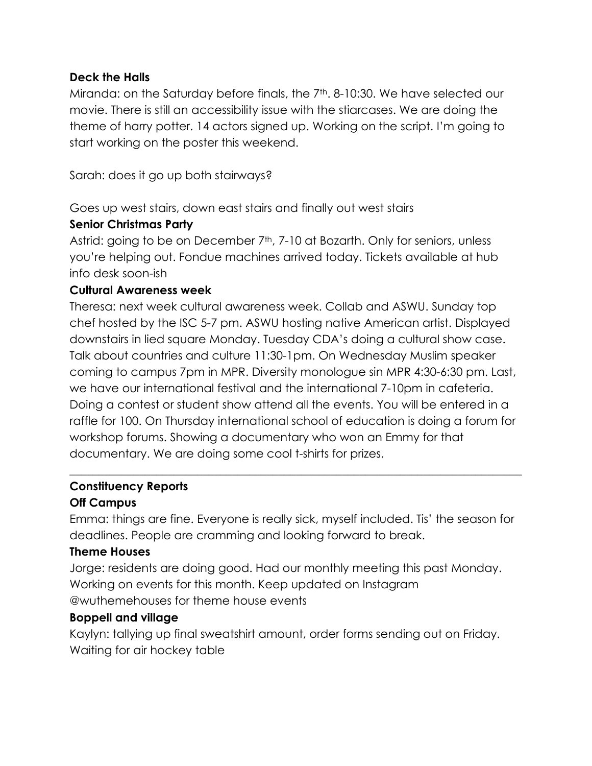#### **Deck the Halls**

Miranda: on the Saturday before finals, the 7<sup>th</sup>. 8-10:30. We have selected our movie. There is still an accessibility issue with the stiarcases. We are doing the theme of harry potter. 14 actors signed up. Working on the script. I'm going to start working on the poster this weekend.

Sarah: does it go up both stairways?

Goes up west stairs, down east stairs and finally out west stairs

#### **Senior Christmas Party**

Astrid: going to be on December 7<sup>th</sup>, 7-10 at Bozarth. Only for seniors, unless you're helping out. Fondue machines arrived today. Tickets available at hub info desk soon-ish

#### **Cultural Awareness week**

Theresa: next week cultural awareness week. Collab and ASWU. Sunday top chef hosted by the ISC 5-7 pm. ASWU hosting native American artist. Displayed downstairs in lied square Monday. Tuesday CDA's doing a cultural show case. Talk about countries and culture 11:30-1pm. On Wednesday Muslim speaker coming to campus 7pm in MPR. Diversity monologue sin MPR 4:30-6:30 pm. Last, we have our international festival and the international 7-10pm in cafeteria. Doing a contest or student show attend all the events. You will be entered in a raffle for 100. On Thursday international school of education is doing a forum for workshop forums. Showing a documentary who won an Emmy for that documentary. We are doing some cool t-shirts for prizes.

## **Constituency Reports**

## **Off Campus**

Emma: things are fine. Everyone is really sick, myself included. Tis' the season for deadlines. People are cramming and looking forward to break.

 $\_$  , and the set of the set of the set of the set of the set of the set of the set of the set of the set of the set of the set of the set of the set of the set of the set of the set of the set of the set of the set of th

## **Theme Houses**

Jorge: residents are doing good. Had our monthly meeting this past Monday. Working on events for this month. Keep updated on Instagram @wuthemehouses for theme house events

## **Boppell and village**

Kaylyn: tallying up final sweatshirt amount, order forms sending out on Friday. Waiting for air hockey table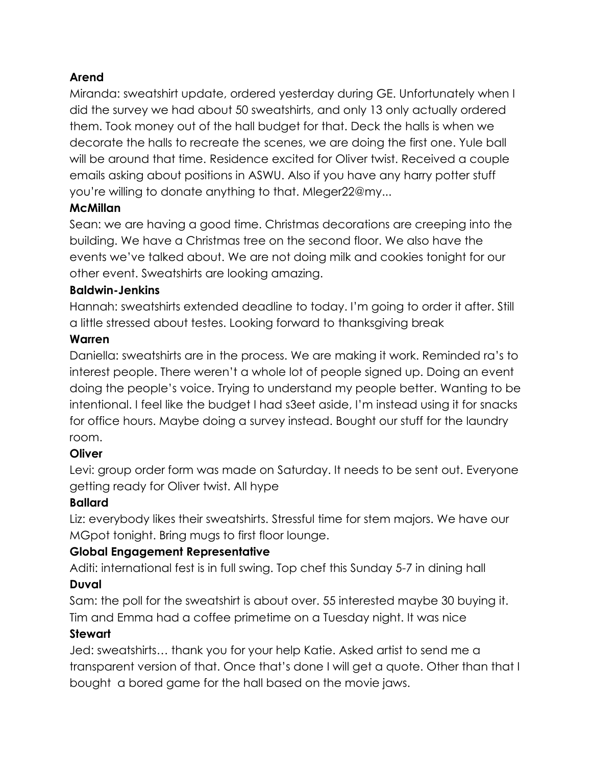## **Arend**

Miranda: sweatshirt update, ordered yesterday during GE. Unfortunately when I did the survey we had about 50 sweatshirts, and only 13 only actually ordered them. Took money out of the hall budget for that. Deck the halls is when we decorate the halls to recreate the scenes, we are doing the first one. Yule ball will be around that time. Residence excited for Oliver twist. Received a couple emails asking about positions in ASWU. Also if you have any harry potter stuff you're willing to donate anything to that. Mleger22@my...

## **McMillan**

Sean: we are having a good time. Christmas decorations are creeping into the building. We have a Christmas tree on the second floor. We also have the events we've talked about. We are not doing milk and cookies tonight for our other event. Sweatshirts are looking amazing.

#### **Baldwin-Jenkins**

Hannah: sweatshirts extended deadline to today. I'm going to order it after. Still a little stressed about testes. Looking forward to thanksgiving break

## **Warren**

Daniella: sweatshirts are in the process. We are making it work. Reminded ra's to interest people. There weren't a whole lot of people signed up. Doing an event doing the people's voice. Trying to understand my people better. Wanting to be intentional. I feel like the budget I had s3eet aside, I'm instead using it for snacks for office hours. Maybe doing a survey instead. Bought our stuff for the laundry room.

## **Oliver**

Levi: group order form was made on Saturday. It needs to be sent out. Everyone getting ready for Oliver twist. All hype

## **Ballard**

Liz: everybody likes their sweatshirts. Stressful time for stem majors. We have our MGpot tonight. Bring mugs to first floor lounge.

## **Global Engagement Representative**

Aditi: international fest is in full swing. Top chef this Sunday 5-7 in dining hall

## **Duval**

Sam: the poll for the sweatshirt is about over. 55 interested maybe 30 buying it. Tim and Emma had a coffee primetime on a Tuesday night. It was nice

## **Stewart**

Jed: sweatshirts… thank you for your help Katie. Asked artist to send me a transparent version of that. Once that's done I will get a quote. Other than that I bought a bored game for the hall based on the movie jaws.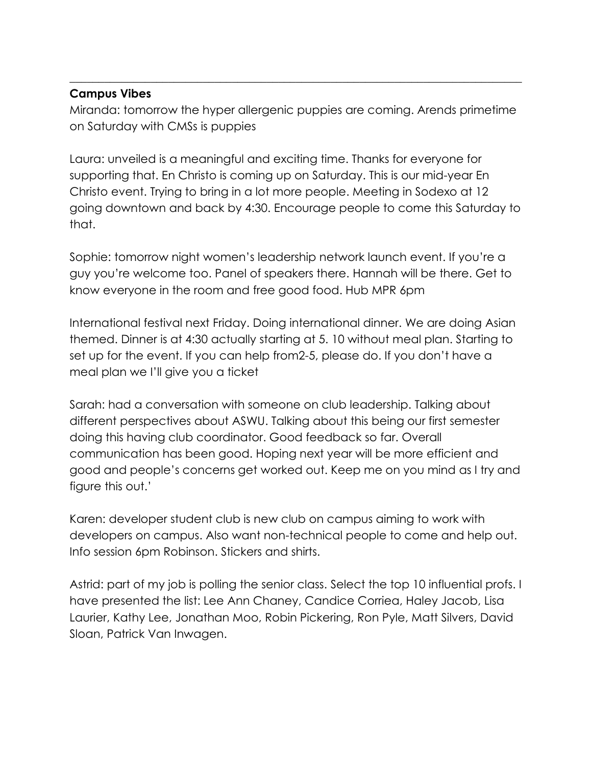#### **Campus Vibes**

Miranda: tomorrow the hyper allergenic puppies are coming. Arends primetime on Saturday with CMSs is puppies

 $\_$  , and the set of the set of the set of the set of the set of the set of the set of the set of the set of the set of the set of the set of the set of the set of the set of the set of the set of the set of the set of th

Laura: unveiled is a meaningful and exciting time. Thanks for everyone for supporting that. En Christo is coming up on Saturday. This is our mid-year En Christo event. Trying to bring in a lot more people. Meeting in Sodexo at 12 going downtown and back by 4:30. Encourage people to come this Saturday to that.

Sophie: tomorrow night women's leadership network launch event. If you're a guy you're welcome too. Panel of speakers there. Hannah will be there. Get to know everyone in the room and free good food. Hub MPR 6pm

International festival next Friday. Doing international dinner. We are doing Asian themed. Dinner is at 4:30 actually starting at 5. 10 without meal plan. Starting to set up for the event. If you can help from2-5, please do. If you don't have a meal plan we I'll give you a ticket

Sarah: had a conversation with someone on club leadership. Talking about different perspectives about ASWU. Talking about this being our first semester doing this having club coordinator. Good feedback so far. Overall communication has been good. Hoping next year will be more efficient and good and people's concerns get worked out. Keep me on you mind as I try and figure this out.'

Karen: developer student club is new club on campus aiming to work with developers on campus. Also want non-technical people to come and help out. Info session 6pm Robinson. Stickers and shirts.

Astrid: part of my job is polling the senior class. Select the top 10 influential profs. I have presented the list: Lee Ann Chaney, Candice Corriea, Haley Jacob, Lisa Laurier, Kathy Lee, Jonathan Moo, Robin Pickering, Ron Pyle, Matt Silvers, David Sloan, Patrick Van Inwagen.